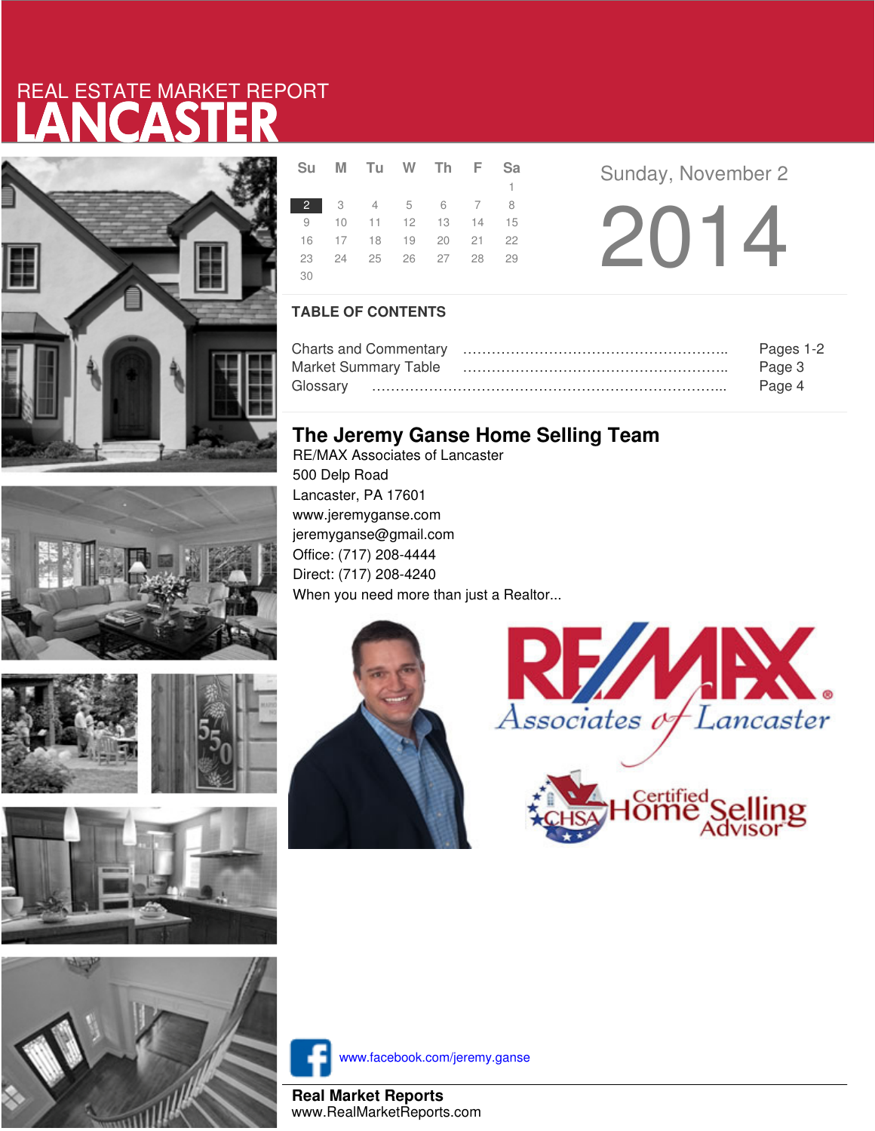# LANCASTER REAL ESTATE MARKET REPORT









|     | Su M Tu W Th F Sa    |  |              |  |  |
|-----|----------------------|--|--------------|--|--|
|     |                      |  | $\mathbf{1}$ |  |  |
|     | 2 3 4 5 6 7 8        |  |              |  |  |
|     | 9 10 11 12 13 14 15  |  |              |  |  |
|     | 16 17 18 19 20 21 22 |  |              |  |  |
|     | 23 24 25 26 27 28 29 |  |              |  |  |
| -30 |                      |  |              |  |  |

**Sunday, November 2** 

2014

### **TABLE OF CONTENTS**

|                      | Pages 1-2 |
|----------------------|-----------|
| Market Summary Table | Page 3    |
|                      | Page 4    |

## **The Jeremy Ganse Home Selling Team**

RE/MAX Associates of Lancaster 500 Delp Road Lancaster, PA 17601 www.jeremyganse.com jeremyganse@gmail.com Office: (717) 208-4444 Direct: (717) 208-4240 When you need more than just a Realtor...







www.facebook.com/jeremy.ganse

**Real Market Reports** www.RealMarketReports.com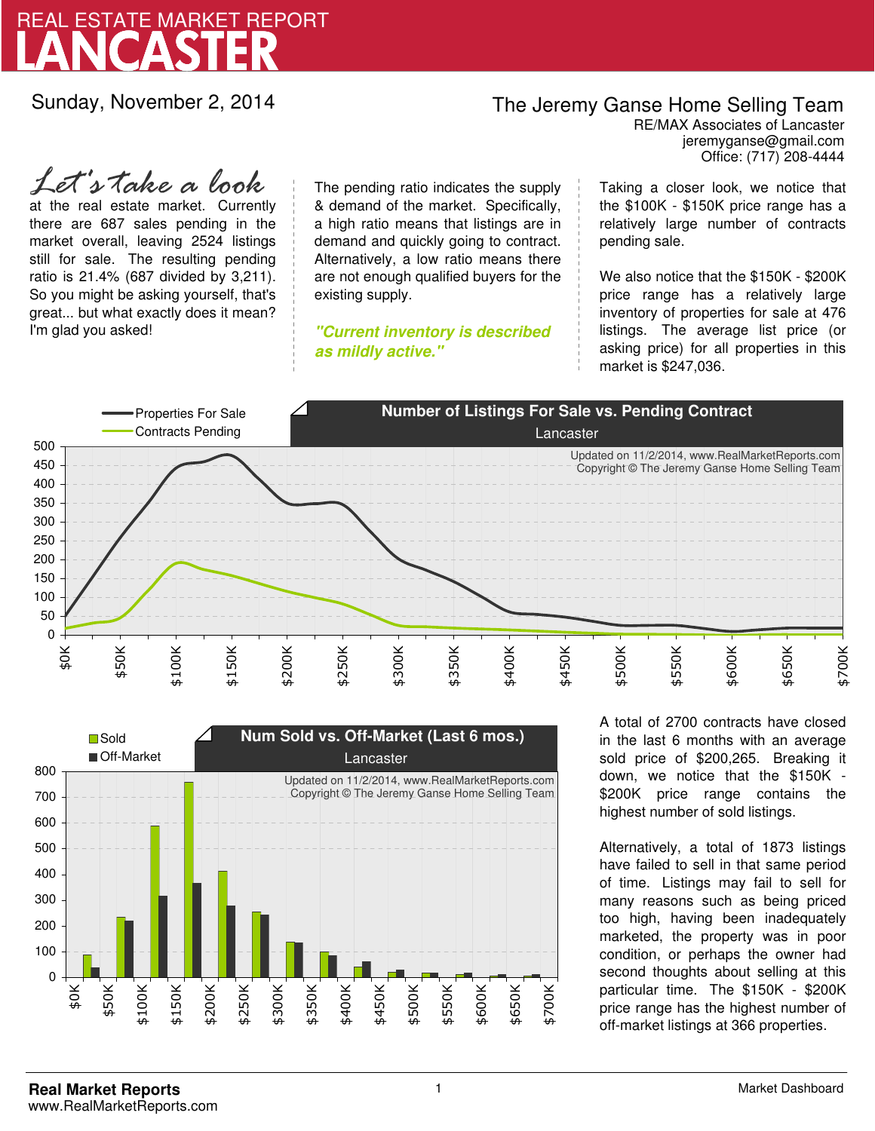

Sunday, November 2, 2014

## The Jeremy Ganse Home Selling Team

jeremyganse@gmail.com RE/MAX Associates of Lancaster Office: (717) 208-4444

at the real estate market. Currently there are 687 sales pending in the market overall, leaving 2524 listings still for sale. The resulting pending ratio is 21.4% (687 divided by 3,211). So you might be asking yourself, that's great... but what exactly does it mean? I'm glad you asked! *Let's take a look*

The pending ratio indicates the supply & demand of the market. Specifically, a high ratio means that listings are in demand and quickly going to contract. Alternatively, a low ratio means there are not enough qualified buyers for the existing supply.

**"Current inventory is described as mildly active."**

Taking a closer look, we notice that the \$100K - \$150K price range has a relatively large number of contracts pending sale.

We also notice that the \$150K - \$200K price range has a relatively large inventory of properties for sale at 476 listings. The average list price (or asking price) for all properties in this market is \$247,036.





A total of 2700 contracts have closed in the last 6 months with an average sold price of \$200,265. Breaking it down, we notice that the \$150K - \$200K price range contains the highest number of sold listings.

Alternatively, a total of 1873 listings have failed to sell in that same period of time. Listings may fail to sell for many reasons such as being priced too high, having been inadequately marketed, the property was in poor condition, or perhaps the owner had second thoughts about selling at this particular time. The \$150K - \$200K price range has the highest number of off-market listings at 366 properties.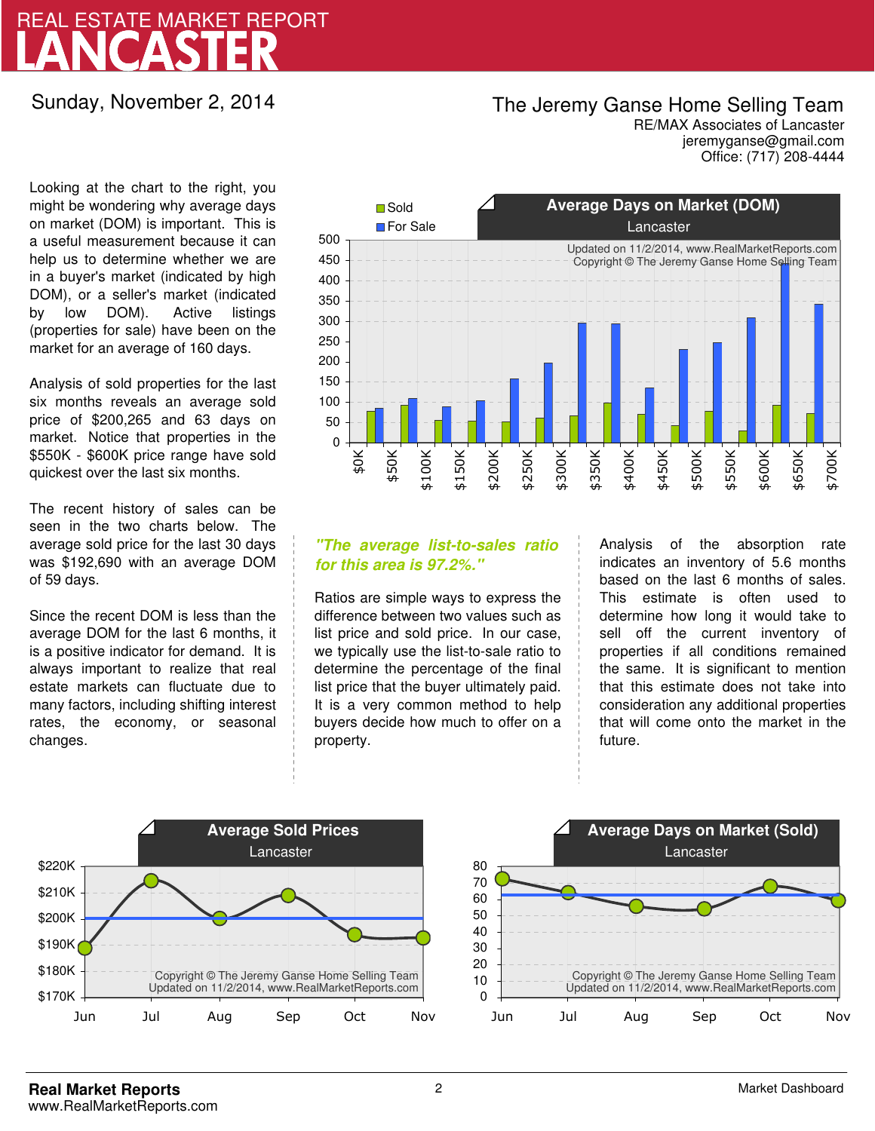# LANCASTER REAL ESTATE MARKET REPORT

Sunday, November 2, 2014

## The Jeremy Ganse Home Selling Team

jeremyganse@gmail.com RE/MAX Associates of Lancaster Office: (717) 208-4444

Looking at the chart to the right, you might be wondering why average days on market (DOM) is important. This is a useful measurement because it can help us to determine whether we are in a buyer's market (indicated by high DOM), or a seller's market (indicated by low DOM). Active listings (properties for sale) have been on the market for an average of 160 days.

Analysis of sold properties for the last six months reveals an average sold price of \$200,265 and 63 days on market. Notice that properties in the \$550K - \$600K price range have sold quickest over the last six months.

The recent history of sales can be seen in the two charts below. The average sold price for the last 30 days was \$192,690 with an average DOM of 59 days.

Since the recent DOM is less than the average DOM for the last 6 months, it is a positive indicator for demand. It is always important to realize that real estate markets can fluctuate due to many factors, including shifting interest rates, the economy, or seasonal changes.



### **"The average list-to-sales ratio for this area is 97.2%."**

Ratios are simple ways to express the difference between two values such as list price and sold price. In our case, we typically use the list-to-sale ratio to determine the percentage of the final list price that the buyer ultimately paid. It is a very common method to help buyers decide how much to offer on a property.

Analysis of the absorption rate indicates an inventory of 5.6 months based on the last 6 months of sales. This estimate is often used to determine how long it would take to sell off the current inventory of properties if all conditions remained the same. It is significant to mention that this estimate does not take into consideration any additional properties that will come onto the market in the future.



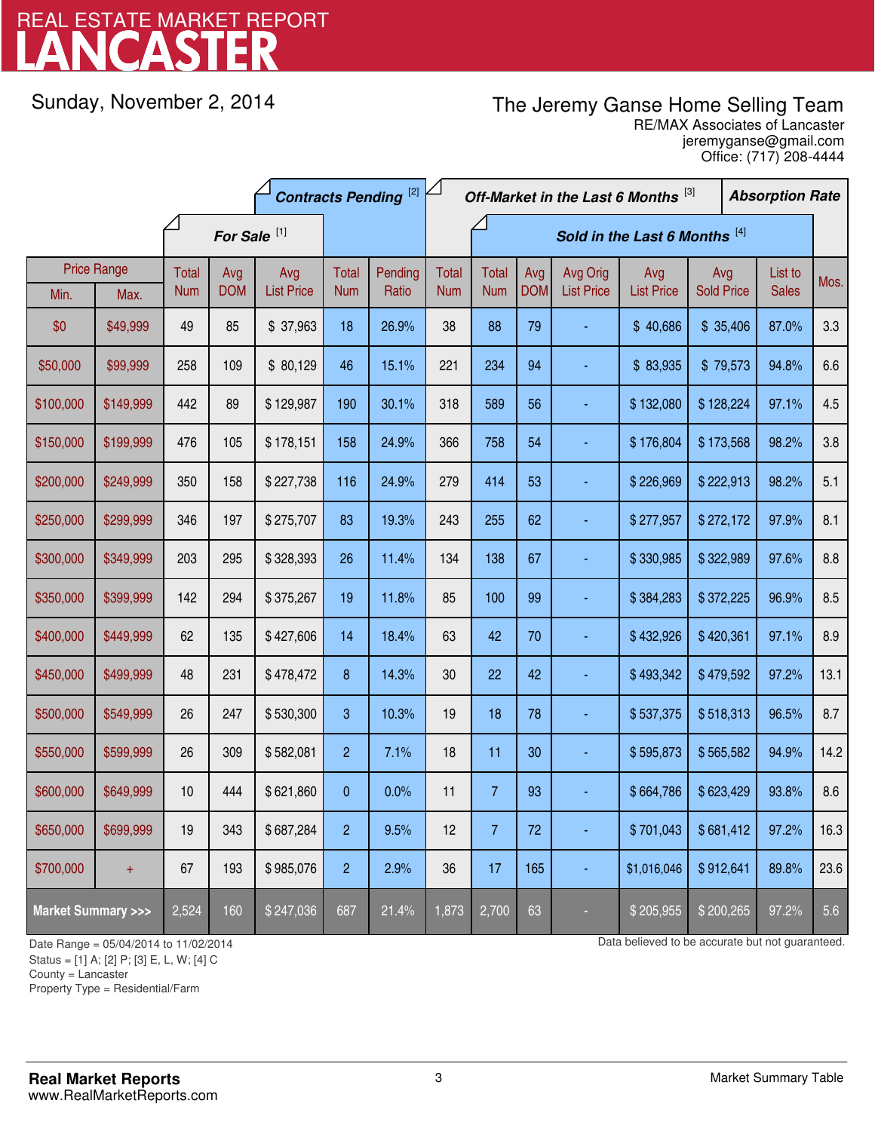# LANCASTER REAL ESTATE MARKET REPORT

Sunday, November 2, 2014

# The Jeremy Ganse Home Selling Team

jeremyganse@gmail.com RE/MAX Associates of Lancaster Office: (717) 208-4444

|                                    | <b>Contracts Pending [2]</b> |                         |            |                   |                  | Off-Market in the Last 6 Months [3] |              |                |            |                   | <b>Absorption Rate</b> |                   |  |              |      |
|------------------------------------|------------------------------|-------------------------|------------|-------------------|------------------|-------------------------------------|--------------|----------------|------------|-------------------|------------------------|-------------------|--|--------------|------|
|                                    |                              | For Sale <sup>[1]</sup> |            |                   |                  | Sold in the Last 6 Months [4]       |              |                |            |                   |                        |                   |  |              |      |
|                                    | <b>Price Range</b>           | <b>Total</b>            | Avg        | Avg               | Total            | Pending                             | <b>Total</b> | <b>Total</b>   | Avg        | Avg Orig          | Avg                    | Avg               |  | List to      | Mos. |
| Min.                               | Max.                         | <b>Num</b>              | <b>DOM</b> | <b>List Price</b> | <b>Num</b>       | Ratio                               | <b>Num</b>   | <b>Num</b>     | <b>DOM</b> | <b>List Price</b> | <b>List Price</b>      | <b>Sold Price</b> |  | <b>Sales</b> |      |
| \$0                                | \$49,999                     | 49                      | 85         | \$37,963          | 18               | 26.9%                               | 38           | 88             | 79         |                   | \$40,686               | \$35,406          |  | 87.0%        | 3.3  |
| \$50,000                           | \$99,999                     | 258                     | 109        | \$80,129          | 46               | 15.1%                               | 221          | 234            | 94         |                   | \$83,935               | \$79,573          |  | 94.8%        | 6.6  |
| \$100,000                          | \$149,999                    | 442                     | 89         | \$129,987         | 190              | 30.1%                               | 318          | 589            | 56         |                   | \$132,080              | \$128,224         |  | 97.1%        | 4.5  |
| \$150,000                          | \$199,999                    | 476                     | 105        | \$178,151         | 158              | 24.9%                               | 366          | 758            | 54         |                   | \$176,804              | \$173,568         |  | 98.2%        | 3.8  |
| \$200,000                          | \$249,999                    | 350                     | 158        | \$227,738         | 116              | 24.9%                               | 279          | 414            | 53         |                   | \$226,969              | \$222,913         |  | 98.2%        | 5.1  |
| \$250,000                          | \$299,999                    | 346                     | 197        | \$275,707         | 83               | 19.3%                               | 243          | 255            | 62         | Ξ                 | \$277,957              | \$272,172         |  | 97.9%        | 8.1  |
| \$300,000                          | \$349,999                    | 203                     | 295        | \$328,393         | 26               | 11.4%                               | 134          | 138            | 67         |                   | \$330,985              | \$322,989         |  | 97.6%        | 8.8  |
| \$350,000                          | \$399,999                    | 142                     | 294        | \$375,267         | 19               | 11.8%                               | 85           | 100            | 99         |                   | \$384,283              | \$372,225         |  | 96.9%        | 8.5  |
| \$400,000                          | \$449,999                    | 62                      | 135        | \$427,606         | 14               | 18.4%                               | 63           | 42             | 70         |                   | \$432,926              | \$420,361         |  | 97.1%        | 8.9  |
| \$450,000                          | \$499,999                    | 48                      | 231        | \$478,472         | $\boldsymbol{8}$ | 14.3%                               | 30           | 22             | 42         |                   | \$493,342              | \$479,592         |  | 97.2%        | 13.1 |
| \$500,000                          | \$549,999                    | 26                      | 247        | \$530,300         | 3                | 10.3%                               | 19           | 18             | 78         |                   | \$537,375              | \$518,313         |  | 96.5%        | 8.7  |
| \$550,000                          | \$599,999                    | 26                      | 309        | \$582,081         | $\overline{2}$   | 7.1%                                | 18           | 11             | 30         |                   | \$595,873              | \$565,582         |  | 94.9%        | 14.2 |
| \$600,000                          | \$649,999                    | 10                      | 444        | \$621,860         | 0                | 0.0%                                | 11           | $\overline{7}$ | 93         |                   | \$664,786              | \$623,429         |  | 93.8%        | 8.6  |
| \$650,000                          | \$699,999                    | 19                      | 343        | \$687,284         | $\overline{c}$   | 9.5%                                | 12           | $\overline{7}$ | 72         |                   | \$701,043              | \$681,412         |  | 97.2%        | 16.3 |
| \$700,000                          | $\ddot{}$                    | 67                      | 193        | \$985,076         | $\overline{c}$   | 2.9%                                | 36           | 17             | 165        | ٠                 | \$1,016,046            | \$912,641         |  | 89.8%        | 23.6 |
| <b>Market Summary &gt;&gt;&gt;</b> |                              | 2,524                   | 160        | \$247,036         | 687              | 21.4%                               | 1,873        | 2,700          | 63         |                   | \$205,955              | \$200,265         |  | 97.2%        | 5.6  |

Status = [1] A; [2] P; [3] E, L, W; [4] C

County = Lancaster

1

Property Type = Residential/Farm

Date Range = 05/04/2014 to 11/02/2014 control 11/02/2014